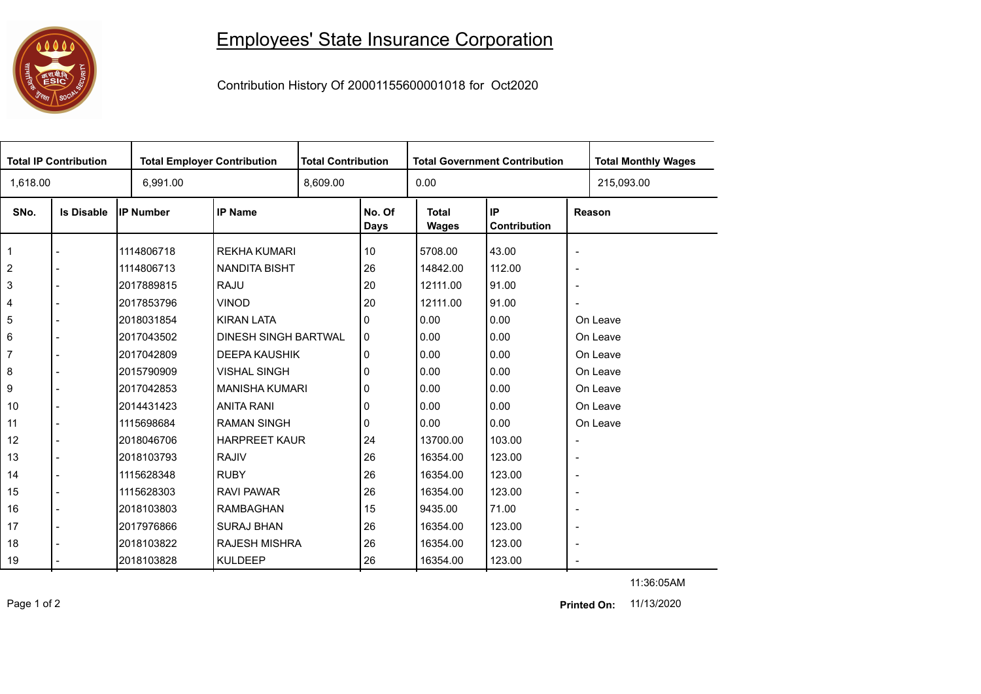## 

## Employees' State Insurance Corporation

Contribution History Of 20001155600001018 for Oct2020

| <b>Total IP Contribution</b> |                   |            | <b>Total Employer Contribution</b> |          | <b>Total Contribution</b> |                              | <b>Total Government Contribution</b> | <b>Total Monthly Wages</b> |            |
|------------------------------|-------------------|------------|------------------------------------|----------|---------------------------|------------------------------|--------------------------------------|----------------------------|------------|
| 1,618.00                     |                   | 6,991.00   |                                    | 8,609.00 |                           | 0.00                         |                                      |                            | 215,093.00 |
| SNo.                         | <b>Is Disable</b> | IP Number  | <b>IP Name</b>                     |          | No. Of<br><b>Days</b>     | <b>Total</b><br><b>Wages</b> | IP<br>Contribution                   |                            | Reason     |
| $\mathbf{1}$                 |                   | 1114806718 | <b>REKHA KUMARI</b>                |          | 10                        | 5708.00                      | 43.00                                | $\blacksquare$             |            |
| $\overline{2}$               |                   | 1114806713 | <b>NANDITA BISHT</b>               |          | 26                        | 14842.00                     | 112.00                               | $\overline{\phantom{a}}$   |            |
| 3                            |                   | 2017889815 | <b>RAJU</b>                        |          | 20                        | 12111.00                     | 91.00                                | $\overline{\phantom{a}}$   |            |
| 4                            |                   | 2017853796 | <b>VINOD</b>                       |          | 20                        | 12111.00                     | 91.00                                | $\sim$                     |            |
| $\sqrt{5}$                   |                   | 2018031854 | <b>KIRAN LATA</b>                  |          | 0                         | 0.00                         | 0.00                                 | On Leave                   |            |
| $\,6\,$                      |                   | 2017043502 | <b>DINESH SINGH BARTWAL</b>        |          | 0                         | 0.00                         | 0.00                                 | On Leave                   |            |
| $\overline{7}$               |                   | 2017042809 | <b>DEEPA KAUSHIK</b>               |          | 0                         | 0.00                         | 0.00                                 | On Leave                   |            |
| 8                            |                   | 2015790909 | <b>VISHAL SINGH</b>                |          | 0                         | 0.00                         | 0.00                                 |                            | On Leave   |
| 9                            |                   | 2017042853 | <b>MANISHA KUMARI</b>              |          | 0                         | 0.00                         | 0.00                                 |                            | On Leave   |
| 10                           |                   | 2014431423 | <b>ANITA RANI</b>                  |          | 0                         | 0.00                         | 0.00                                 |                            | On Leave   |
| 11                           |                   | 1115698684 | <b>RAMAN SINGH</b>                 |          | 0                         | 0.00                         | 0.00                                 |                            | On Leave   |
| 12                           |                   | 2018046706 | <b>HARPREET KAUR</b>               |          | 24                        | 13700.00                     | 103.00                               | $\overline{\phantom{a}}$   |            |
| 13                           |                   | 2018103793 | <b>RAJIV</b>                       |          | 26                        | 16354.00                     | 123.00                               | $\overline{\phantom{a}}$   |            |
| 14                           | $\overline{a}$    | 1115628348 | <b>RUBY</b>                        |          | 26                        | 16354.00                     | 123.00                               | $\blacksquare$             |            |
| 15                           |                   | 1115628303 | <b>RAVI PAWAR</b>                  |          | 26                        | 16354.00                     | 123.00                               | $\overline{\phantom{a}}$   |            |
| 16                           |                   | 2018103803 | <b>RAMBAGHAN</b>                   |          | 15                        | 9435.00                      | 71.00                                | $\overline{\phantom{a}}$   |            |
| 17                           |                   | 2017976866 | <b>SURAJ BHAN</b>                  |          | 26                        | 16354.00                     | 123.00                               | $\blacksquare$             |            |
| 18                           |                   | 2018103822 | <b>RAJESH MISHRA</b>               |          | 26                        | 16354.00                     | 123.00                               | $\overline{\phantom{a}}$   |            |
| 19                           |                   | 2018103828 | <b>KULDEEP</b>                     |          | 26                        | 16354.00                     | 123.00                               | $\blacksquare$             |            |

11:36:05AM